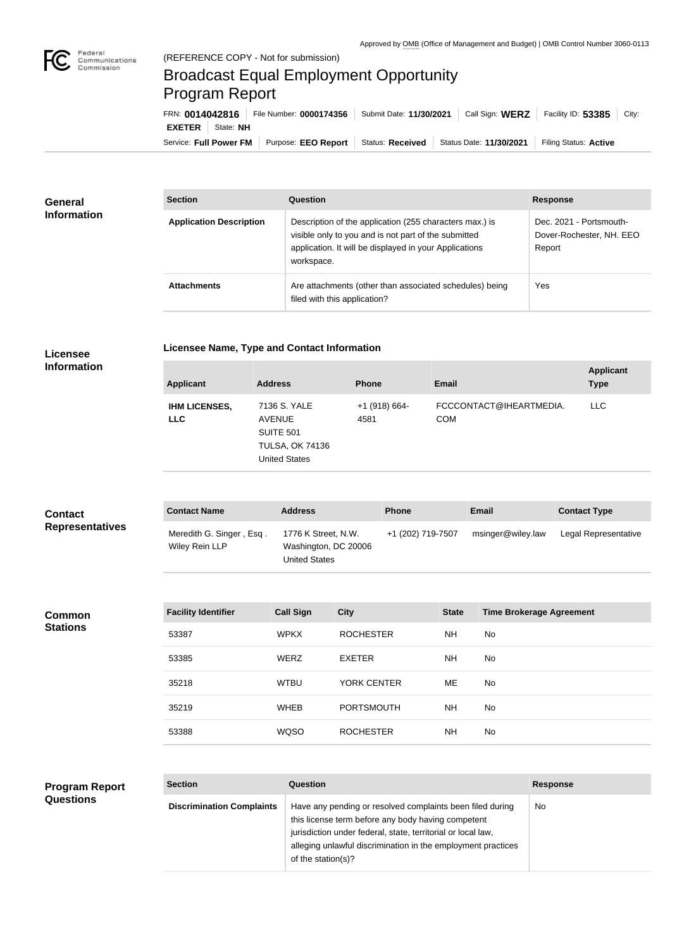

## Broadcast Equal Employment Opportunity Program Report

| FRN: 0014042816            | File Number: 0000174356   Submit Date: 11/30/2021 |                  |                         | Call Sign: WERZ Facility ID: 53385 | City: |
|----------------------------|---------------------------------------------------|------------------|-------------------------|------------------------------------|-------|
| <b>EXETER</b><br>State: NH |                                                   |                  |                         |                                    |       |
| Service: Full Power FM     | Purpose: EEO Report                               | Status: Received | Status Date: 11/30/2021 | Filing Status: Active              |       |

| <b>General</b><br><b>Information</b> | <b>Section</b>                 | Question                                                                                                                                                                                | <b>Response</b>                                               |
|--------------------------------------|--------------------------------|-----------------------------------------------------------------------------------------------------------------------------------------------------------------------------------------|---------------------------------------------------------------|
|                                      | <b>Application Description</b> | Description of the application (255 characters max.) is<br>visible only to you and is not part of the submitted<br>application. It will be displayed in your Applications<br>workspace. | Dec. 2021 - Portsmouth-<br>Dover-Rochester, NH. EEO<br>Report |
|                                      | <b>Attachments</b>             | Are attachments (other than associated schedules) being<br>filed with this application?                                                                                                 | Yes                                                           |

|  | Licensee Name, Type and Contact Information |
|--|---------------------------------------------|
|--|---------------------------------------------|

**Licensee Information**

| <b>Applicant</b>                   | <b>Address</b>                                                                                      | <b>Phone</b>            | Email                                 | <b>Applicant</b><br><b>Type</b> |
|------------------------------------|-----------------------------------------------------------------------------------------------------|-------------------------|---------------------------------------|---------------------------------|
| <b>IHM LICENSES,</b><br><b>LLC</b> | 7136 S. YALE<br><b>AVENUE</b><br><b>SUITE 501</b><br><b>TULSA, OK 74136</b><br><b>United States</b> | $+1$ (918) 664-<br>4581 | FCCCONTACT@IHEARTMEDIA.<br><b>COM</b> | LLC.                            |

| <b>Contact</b>         | <b>Contact Name</b>                        | <b>Address</b>                                                      | <b>Phone</b>      | <b>Email</b>      | <b>Contact Type</b>  |
|------------------------|--------------------------------------------|---------------------------------------------------------------------|-------------------|-------------------|----------------------|
| <b>Representatives</b> | Meredith G. Singer, Esq.<br>Wiley Rein LLP | 1776 K Street, N.W.<br>Washington, DC 20006<br><b>United States</b> | +1 (202) 719-7507 | msinger@wiley.law | Legal Representative |

| <b>Common</b><br><b>Stations</b> | <b>Facility Identifier</b> | <b>Call Sign</b> | <b>City</b>        | <b>State</b> | <b>Time Brokerage Agreement</b> |
|----------------------------------|----------------------------|------------------|--------------------|--------------|---------------------------------|
|                                  | 53387                      | <b>WPKX</b>      | <b>ROCHESTER</b>   | <b>NH</b>    | No                              |
|                                  | 53385                      | <b>WERZ</b>      | EXETER             | <b>NH</b>    | No                              |
|                                  | 35218                      | <b>WTBU</b>      | <b>YORK CENTER</b> | ME           | No                              |
|                                  | 35219                      | <b>WHEB</b>      | <b>PORTSMOUTH</b>  | <b>NH</b>    | No                              |
|                                  | 53388                      | <b>WQSO</b>      | <b>ROCHESTER</b>   | <b>NH</b>    | No                              |

| <b>Program Report</b> |  |
|-----------------------|--|
| <b>Questions</b>      |  |

| <b>Section</b>                   | Question                                                                                                                                                                                                                                                              | <b>Response</b> |
|----------------------------------|-----------------------------------------------------------------------------------------------------------------------------------------------------------------------------------------------------------------------------------------------------------------------|-----------------|
| <b>Discrimination Complaints</b> | Have any pending or resolved complaints been filed during<br>this license term before any body having competent<br>jurisdiction under federal, state, territorial or local law,<br>alleging unlawful discrimination in the employment practices<br>of the station(s)? | No.             |